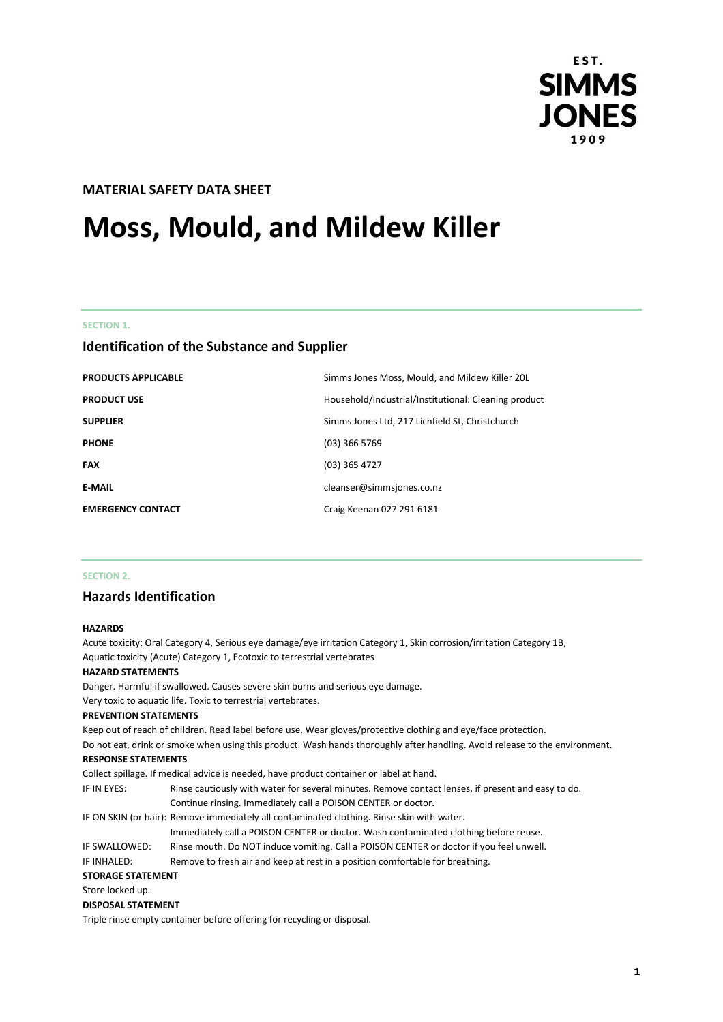

# **MATERIAL SAFETY DATA SHEET**

# **Moss, Mould, and Mildew Killer**

**SECTION 1.**

# **Identification of the Substance and Supplier**

| <b>PRODUCTS APPLICABLE</b> | Simms Jones Moss, Mould, and Mildew Killer 20L       |
|----------------------------|------------------------------------------------------|
| <b>PRODUCT USE</b>         | Household/Industrial/Institutional: Cleaning product |
| <b>SUPPLIER</b>            | Simms Jones Ltd, 217 Lichfield St, Christchurch      |
| <b>PHONE</b>               | $(03)$ 366 5769                                      |
| <b>FAX</b>                 | $(03)$ 365 4727                                      |
| <b>E-MAIL</b>              | cleanser@simmsjones.co.nz                            |
| <b>EMERGENCY CONTACT</b>   | Craig Keenan 027 291 6181                            |

## **SECTION 2.**

## **Hazards Identification**

#### **HAZARDS**

Acute toxicity: Oral Category 4, Serious eye damage/eye irritation Category 1, Skin corrosion/irritation Category 1B, Aquatic toxicity (Acute) Category 1, Ecotoxic to terrestrial vertebrates **HAZARD STATEMENTS** Danger. Harmful if swallowed. Causes severe skin burns and serious eye damage. Very toxic to aquatic life. Toxic to terrestrial vertebrates. **PREVENTION STATEMENTS** Keep out of reach of children. Read label before use. Wear gloves/protective clothing and eye/face protection. Do not eat, drink or smoke when using this product. Wash hands thoroughly after handling. Avoid release to the environment. **RESPONSE STATEMENTS** Collect spillage. If medical advice is needed, have product container or label at hand. IF IN EYES: Rinse cautiously with water for several minutes. Remove contact lenses, if present and easy to do. Continue rinsing. Immediately call a POISON CENTER or doctor. IF ON SKIN (or hair): Remove immediately all contaminated clothing. Rinse skin with water. Immediately call a POISON CENTER or doctor. Wash contaminated clothing before reuse. IF SWALLOWED: Rinse mouth. Do NOT induce vomiting. Call a POISON CENTER or doctor if you feel unwell. IF INHALED: Remove to fresh air and keep at rest in a position comfortable for breathing. **STORAGE STATEMENT** Store locked up. **DISPOSAL STATEMENT** Triple rinse empty container before offering for recycling or disposal.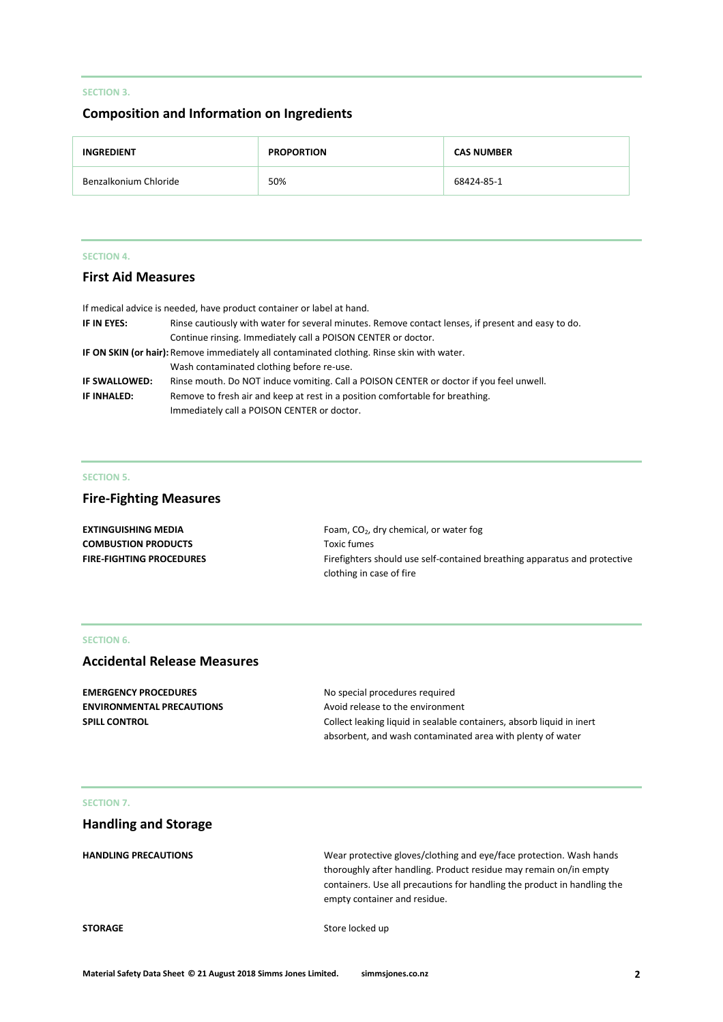## **SECTION 3.**

## **Composition and Information on Ingredients**

| <b>INGREDIENT</b>     | <b>PROPORTION</b> | <b>CAS NUMBER</b> |
|-----------------------|-------------------|-------------------|
| Benzalkonium Chloride | 50%               | 68424-85-1        |

#### **SECTION 4.**

# **First Aid Measures**

|               | If medical advice is needed, have product container or label at hand.                              |  |
|---------------|----------------------------------------------------------------------------------------------------|--|
| IF IN EYES:   | Rinse cautiously with water for several minutes. Remove contact lenses, if present and easy to do. |  |
|               | Continue rinsing. Immediately call a POISON CENTER or doctor.                                      |  |
|               | IF ON SKIN (or hair): Remove immediately all contaminated clothing. Rinse skin with water.         |  |
|               | Wash contaminated clothing before re-use.                                                          |  |
| IF SWALLOWED: | Rinse mouth. Do NOT induce vomiting. Call a POISON CENTER or doctor if you feel unwell.            |  |
| IF INHALED:   | Remove to fresh air and keep at rest in a position comfortable for breathing.                      |  |
|               | Immediately call a POISON CENTER or doctor.                                                        |  |

#### **SECTION 5.**

# **Fire-Fighting Measures**

| EXTINGUISHING MEDIA        | Foam, CO <sub>2</sub> , dry chemical, or water fog                        |
|----------------------------|---------------------------------------------------------------------------|
| <b>COMBUSTION PRODUCTS</b> | Toxic fumes                                                               |
| FIRE-FIGHTING PROCEDURES   | Firefighters should use self-contained breathing apparatus and protective |
|                            | clothing in case of fire                                                  |

#### **SECTION 6.**

# **Accidental Release Measures**

**EMERGENCY PROCEDURES** No special procedures required

**ENVIRONMENTAL PRECAUTIONS** Avoid release to the environment **SPILL CONTROL** Collect leaking liquid in sealable containers, absorb liquid in inert absorbent, and wash contaminated area with plenty of water

## **SECTION 7.**

# **Handling and Storage**

**HANDLING PRECAUTIONS** Wear protective gloves/clothing and eye/face protection. Wash hands thoroughly after handling. Product residue may remain on/in empty containers. Use all precautions for handling the product in handling the empty container and residue.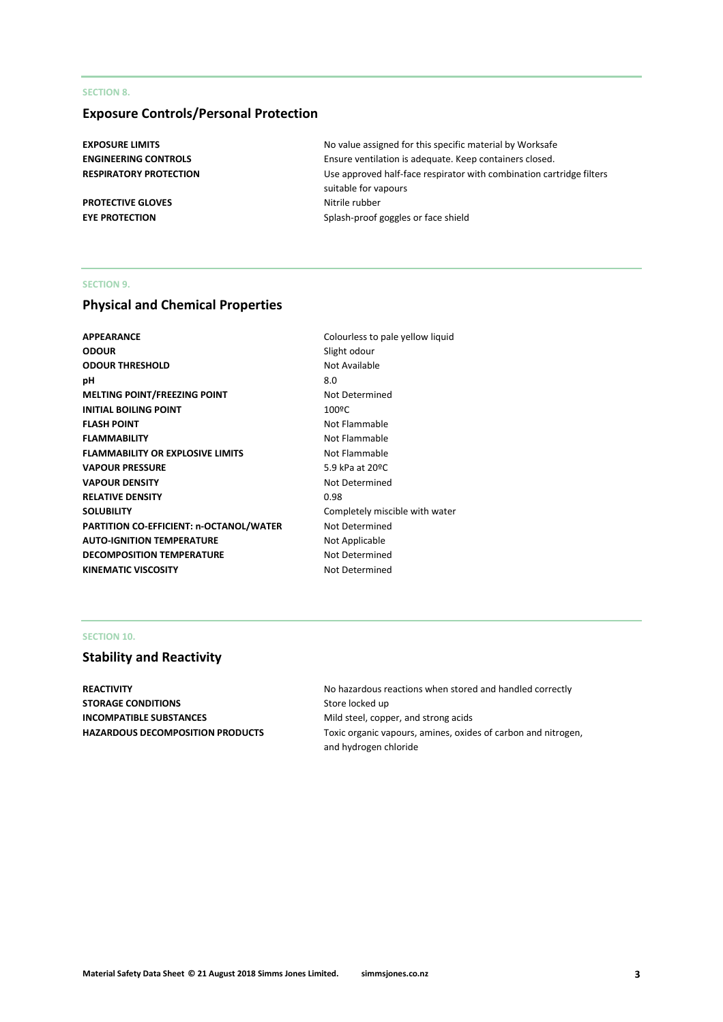## **SECTION 8.**

# **Exposure Controls/Personal Protection**

**PROTECTIVE GLOVES** Nitrile rubber

**EXPOSURE LIMITS** No value assigned for this specific material by Worksafe **ENGINEERING CONTROLS** Ensure ventilation is adequate. Keep containers closed. **RESPIRATORY PROTECTION** Use approved half-face respirator with combination cartridge filters suitable for vapours **EYE PROTECTION** Splash-proof goggles or face shield

## **SECTION 9.**

## **Physical and Chemical Properties**

| APPEARANCE                                     | Colourless to pale yellow liquid |
|------------------------------------------------|----------------------------------|
| ODOUR                                          | Slight odour                     |
| <b>ODOUR THRESHOLD</b>                         | Not Available                    |
| pН                                             | 8.0                              |
| <b>MELTING POINT/FREEZING POINT</b>            | Not Determined                   |
| <b>INITIAL BOILING POINT</b>                   | 100°C                            |
| <b>FLASH POINT</b>                             | Not Flammable                    |
| <b>FLAMMABILITY</b>                            | Not Flammable                    |
| <b>FLAMMABILITY OR EXPLOSIVE LIMITS</b>        | Not Flammable                    |
| <b>VAPOUR PRESSURE</b>                         | 5.9 kPa at 20ºC                  |
| <b>VAPOUR DENSITY</b>                          | Not Determined                   |
| <b>RELATIVE DENSITY</b>                        | 0.98                             |
| SOLUBILITY                                     | Completely miscible with water   |
| <b>PARTITION CO-EFFICIENT: n-OCTANOL/WATER</b> | Not Determined                   |
| <b>AUTO-IGNITION TEMPERATURE</b>               | Not Applicable                   |
| <b>DECOMPOSITION TEMPERATURE</b>               | Not Determined                   |
| KINEMATIC VISCOSITY                            | Not Determined                   |
|                                                |                                  |

#### **SECTION 10.**

# **Stability and Reactivity**

**STORAGE CONDITIONS** Store locked up **INCOMPATIBLE SUBSTANCES** Mild steel, copper, and strong acids

**REACTIVITY REACTIVITY No hazardous reactions when stored and handled correctly HAZARDOUS DECOMPOSITION PRODUCTS** Toxic organic vapours, amines, oxides of carbon and nitrogen, and hydrogen chloride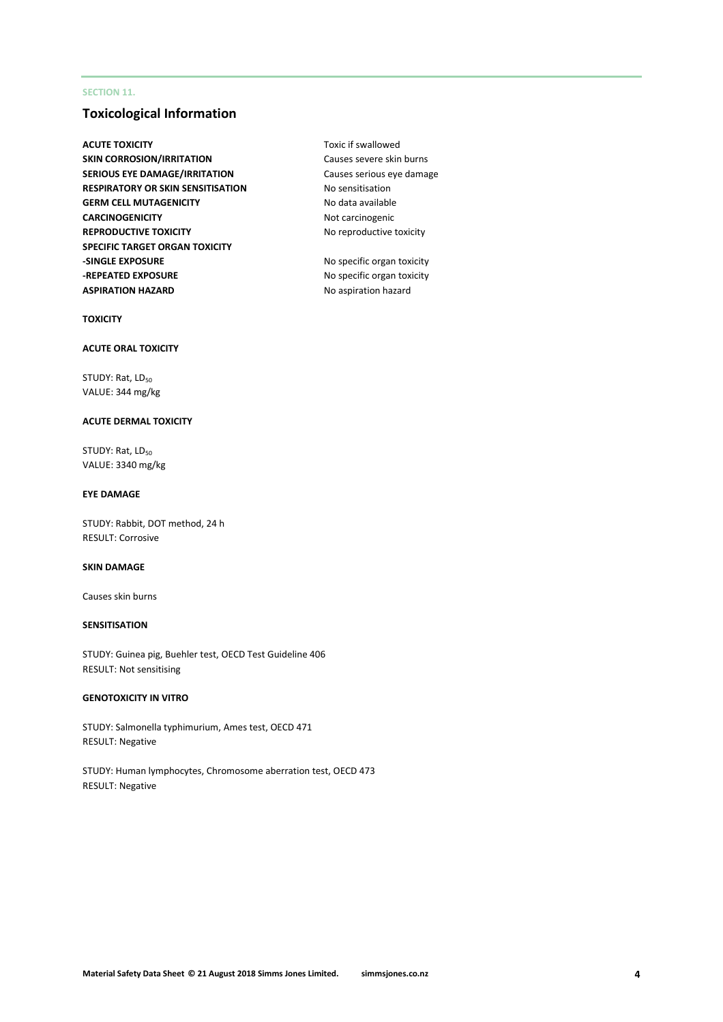## **SECTION 11.**

# **Toxicological Information**

- **ACUTE TOXICITY TOXICITY TOXIC IF SWALLOWED TOXIC** if swallowed **SKIN CORROSION/IRRITATION** Causes severe skin burns **SERIOUS EYE DAMAGE/IRRITATION** Causes serious eye damage **RESPIRATORY OR SKIN SENSITISATION No sensitisation GERM CELL MUTAGENICITY** No data available **CARCINOGENICITY** Not carcinogenic **REPRODUCTIVE TOXICITY** No reproductive toxicity **SPECIFIC TARGET ORGAN TOXICITY -SINGLE EXPOSURE** No specific organ toxicity **-REPEATED EXPOSURE** No specific organ toxicity **ASPIRATION HAZARD** No aspiration hazard
	-

## **TOXICITY**

#### **ACUTE ORAL TOXICITY**

STUDY: Rat, LD<sub>50</sub> VALUE: 344 mg/kg

## **ACUTE DERMAL TOXICITY**

STUDY: Rat, LD<sub>50</sub> VALUE: 3340 mg/kg

#### **EYE DAMAGE**

STUDY: Rabbit, DOT method, 24 h RESULT: Corrosive

#### **SKIN DAMAGE**

Causes skin burns

## **SENSITISATION**

STUDY: Guinea pig, Buehler test, OECD Test Guideline 406 RESULT: Not sensitising

#### **GENOTOXICITY IN VITRO**

STUDY: Salmonella typhimurium, Ames test, OECD 471 RESULT: Negative

STUDY: Human lymphocytes, Chromosome aberration test, OECD 473 RESULT: Negative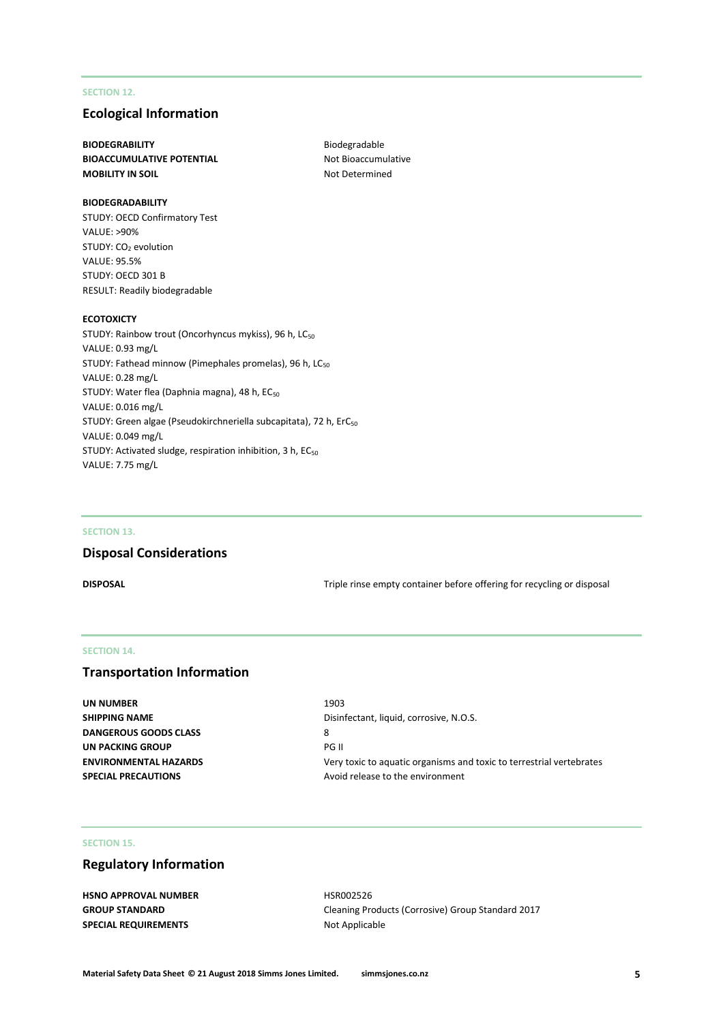## **SECTION 12.**

## **Ecological Information**

## **BIODEGRABILITY** Biodegradable **BIOACCUMULATIVE POTENTIAL** Not Bioaccumulative **MOBILITY IN SOIL** MOBILITY IN SOIL

#### **BIODEGRADABILITY**

STUDY: OECD Confirmatory Test VALUE: >90% STUDY: CO<sub>2</sub> evolution VALUE: 95.5% STUDY: OECD 301 B RESULT: Readily biodegradable

#### **ECOTOXICTY**

STUDY: Rainbow trout (Oncorhyncus mykiss), 96 h, LC<sub>50</sub> VALUE: 0.93 mg/L STUDY: Fathead minnow (Pimephales promelas), 96 h, LC<sub>50</sub> VALUE: 0.28 mg/L STUDY: Water flea (Daphnia magna), 48 h, EC<sub>50</sub> VALUE: 0.016 mg/L STUDY: Green algae (Pseudokirchneriella subcapitata), 72 h, ErC<sub>50</sub> VALUE: 0.049 mg/L STUDY: Activated sludge, respiration inhibition, 3 h, EC<sub>50</sub> VALUE: 7.75 mg/L

## **SECTION 13.**

# **Disposal Considerations**

**DISPOSAL** DISPOSAL **DISPOSAL Triple rinse empty container before offering for recycling or disposal** 

## **SECTION 14.**

## **Transportation Information**

**UN NUMBER** 1903 **SHIPPING NAME** Disinfectant, liquid, corrosive, N.O.S. **DANGEROUS GOODS CLASS** 8 **UN PACKING GROUP** PG II **SPECIAL PRECAUTIONS** Avoid release to the environment

**ENVIRONMENTAL HAZARDS** Very toxic to aquatic organisms and toxic to terrestrial vertebrates

## **SECTION 15.**

## **Regulatory Information**

| <b>HSNO APPROVAL NUMBER</b> |
|-----------------------------|
| <b>GROUP STANDARD</b>       |
| <b>SPECIAL REQUIREMENTS</b> |

**HSR002526 Cleaning Products (Corrosive) Group Standard 2017 Not Applicable**